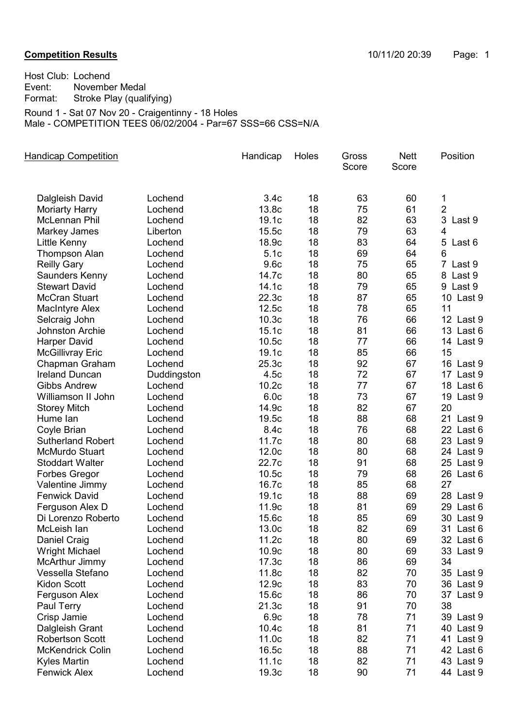## **Competition Results Competition Results Competition Results 10/11/20 20:39** Page: 1

Host Club: Lochend Event: November Medal Format: Stroke Play (qualifying) Round 1 - Sat 07 Nov 20 - Craigentinny - 18 Holes Male - COMPETITION TEES 06/02/2004 - Par=67 SSS=66 CSS=N/A

| <b>Handicap Competition</b>             |                    | Handicap          | Holes    | Gross<br>Score | <b>Nett</b><br>Score | Position                 |
|-----------------------------------------|--------------------|-------------------|----------|----------------|----------------------|--------------------------|
| Dalgleish David                         | Lochend            | 3.4 <sub>c</sub>  | 18       | 63             | 60                   | 1                        |
| <b>Moriarty Harry</b>                   | Lochend            | 13.8c             | 18       | 75             | 61                   | $\overline{2}$           |
| McLennan Phil                           | Lochend            | 19.1c             | 18       | 82             | 63                   | 3<br>Last 9              |
| Markey James                            | Liberton           | 15.5c             | 18       | 79             | 63                   | $\overline{4}$           |
| Little Kenny                            | Lochend            | 18.9c             | 18       | 83             | 64                   | 5<br>Last 6              |
| <b>Thompson Alan</b>                    | Lochend            | 5.1c              | 18       | 69             | 64                   | 6                        |
| <b>Reilly Gary</b>                      | Lochend            | 9.6c              | 18       | 75             | 65                   | $\overline{7}$<br>Last 9 |
| Saunders Kenny                          | Lochend            | 14.7c             | 18       | 80             | 65                   | 8 Last 9                 |
| <b>Stewart David</b>                    | Lochend            | 14.1c             | 18       | 79             | 65                   | 9 Last 9                 |
| <b>McCran Stuart</b>                    | Lochend            | 22.3c             | 18       | 87             | 65                   | 10 Last 9                |
| <b>MacIntyre Alex</b>                   | Lochend            | 12.5c             | 18       | 78             | 65                   | 11                       |
| Selcraig John                           | Lochend            | 10.3 <sub>c</sub> | 18       | 76             | 66                   | 12 Last 9                |
| <b>Johnston Archie</b>                  | Lochend            | 15.1c             | 18       | 81             | 66                   | 13 Last 6                |
| <b>Harper David</b>                     | Lochend            | 10.5c             | 18       | 77             | 66                   | 14 Last 9                |
| <b>McGillivray Eric</b>                 | Lochend            | 19.1c             | 18       | 85             | 66                   | 15                       |
| Chapman Graham                          | Lochend            | 25.3c             | 18       | 92             | 67                   | 16 Last 9                |
| <b>Ireland Duncan</b>                   | Duddingston        | 4.5c              | 18       | 72             | 67                   | 17 Last 9                |
| <b>Gibbs Andrew</b>                     | Lochend            | 10.2c             | 18       | 77             | 67                   | 18 Last 6                |
| Williamson II John                      | Lochend            | 6.0c              | 18       | 73             | 67                   | 19 Last 9                |
| <b>Storey Mitch</b>                     | Lochend            | 14.9c             | 18       | 82             | 67                   | 20                       |
| Hume lan                                | Lochend            | 19.5c             | 18       | 88             | 68                   | 21 Last 9                |
| Coyle Brian                             | Lochend            | 8.4c              | 18       | 76             | 68                   | 22 Last 6                |
| <b>Sutherland Robert</b>                | Lochend            | 11.7c             | 18       | 80             | 68                   | 23 Last 9                |
| <b>McMurdo Stuart</b>                   | Lochend            | 12.0c             | 18       | 80             | 68                   | 24 Last 9                |
| <b>Stoddart Walter</b>                  | Lochend            | 22.7c             | 18       | 91             | 68                   | 25 Last 9                |
| <b>Forbes Gregor</b>                    | Lochend            | 10.5c             | 18       | 79             | 68                   | 26 Last 6<br>27          |
| Valentine Jimmy                         | Lochend            | 16.7c             | 18<br>18 | 85<br>88       | 68<br>69             |                          |
| <b>Fenwick David</b><br>Ferguson Alex D | Lochend<br>Lochend | 19.1c<br>11.9c    | 18       | 81             | 69                   | 28 Last 9<br>29 Last 6   |
| Di Lorenzo Roberto                      | Lochend            | 15.6c             | 18       | 85             | 69                   | 30 Last 9                |
| McLeish lan                             | Lochend            | 13.0c             | 18       | 82             | 69                   | 31 Last 6                |
| Daniel Craig                            | Lochend            | 11.2c             | 18       | 80             | 69                   | 32 Last 6                |
| <b>Wright Michael</b>                   | Lochend            | 10.9c             | 18       | 80             | 69                   | 33 Last 9                |
| McArthur Jimmy                          | Lochend            | 17.3c             | 18       | 86             | 69                   | 34                       |
| Vessella Stefano                        | Lochend            | 11.8c             | 18       | 82             | 70                   | 35 Last 9                |
| Kidon Scott                             | Lochend            | 12.9c             | 18       | 83             | 70                   | 36 Last 9                |
| Ferguson Alex                           | Lochend            | 15.6c             | 18       | 86             | 70                   | 37 Last 9                |
| Paul Terry                              | Lochend            | 21.3c             | 18       | 91             | 70                   | 38                       |
| Crisp Jamie                             | Lochend            | 6.9c              | 18       | 78             | 71                   | 39 Last 9                |
| Dalgleish Grant                         | Lochend            | 10.4c             | 18       | 81             | 71                   | 40 Last 9                |
| <b>Robertson Scott</b>                  | Lochend            | 11.0c             | 18       | 82             | 71                   | 41 Last 9                |
| <b>McKendrick Colin</b>                 | Lochend            | 16.5c             | 18       | 88             | 71                   | 42 Last 6                |
| <b>Kyles Martin</b>                     | Lochend            | 11.1c             | 18       | 82             | 71                   | 43 Last 9                |
| <b>Fenwick Alex</b>                     | Lochend            | 19.3c             | 18       | 90             | 71                   | 44 Last 9                |
|                                         |                    |                   |          |                |                      |                          |